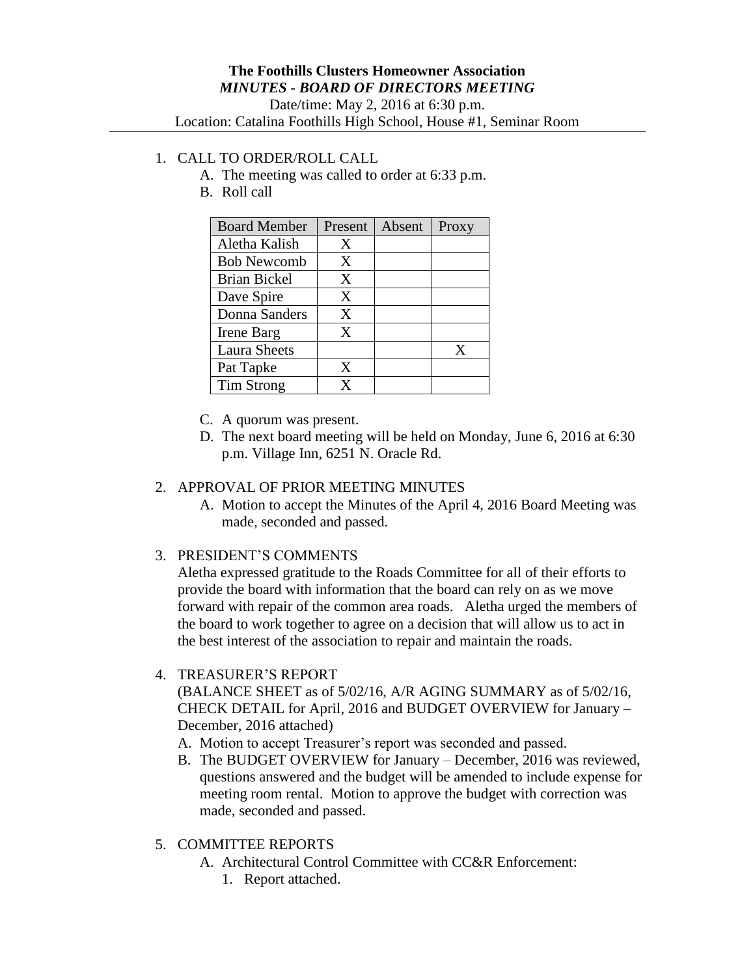## 1. CALL TO ORDER/ROLL CALL

- A. The meeting was called to order at 6:33 p.m.
- B. Roll call

| <b>Board Member</b> | Present | Absent | Proxy |
|---------------------|---------|--------|-------|
| Aletha Kalish       | X       |        |       |
| <b>Bob Newcomb</b>  | X       |        |       |
| <b>Brian Bickel</b> | X       |        |       |
| Dave Spire          | X       |        |       |
| Donna Sanders       | X       |        |       |
| Irene Barg          | X       |        |       |
| <b>Laura Sheets</b> |         |        | X     |
| Pat Tapke           | X       |        |       |
| Tim Strong          | X       |        |       |

- C. A quorum was present.
- D. The next board meeting will be held on Monday, June 6, 2016 at 6:30 p.m. Village Inn, 6251 N. Oracle Rd.

## 2. APPROVAL OF PRIOR MEETING MINUTES

- A. Motion to accept the Minutes of the April 4, 2016 Board Meeting was made, seconded and passed.
- 3. PRESIDENT'S COMMENTS

Aletha expressed gratitude to the Roads Committee for all of their efforts to provide the board with information that the board can rely on as we move forward with repair of the common area roads. Aletha urged the members of the board to work together to agree on a decision that will allow us to act in the best interest of the association to repair and maintain the roads.

## 4. TREASURER'S REPORT

(BALANCE SHEET as of 5/02/16, A/R AGING SUMMARY as of 5/02/16, CHECK DETAIL for April, 2016 and BUDGET OVERVIEW for January – December, 2016 attached)

- A. Motion to accept Treasurer's report was seconded and passed.
- B. The BUDGET OVERVIEW for January December, 2016 was reviewed, questions answered and the budget will be amended to include expense for meeting room rental. Motion to approve the budget with correction was made, seconded and passed.
- 5. COMMITTEE REPORTS
	- A. Architectural Control Committee with CC&R Enforcement:
		- 1. Report attached.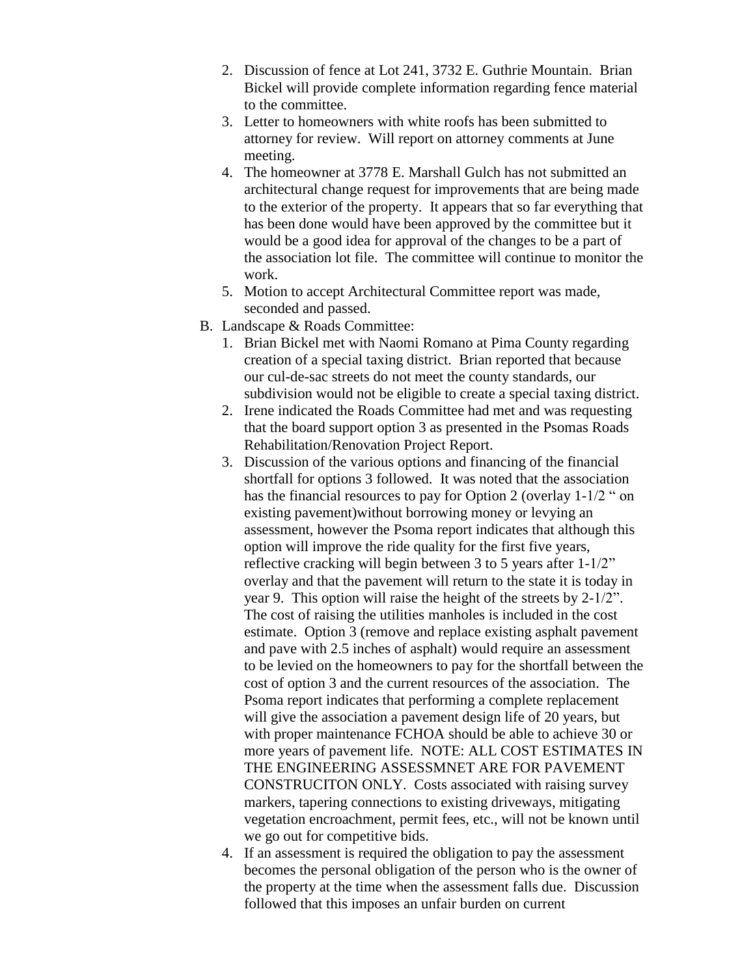- 2. Discussion of fence at Lot 241, 3732 E. Guthrie Mountain. Brian Bickel will provide complete information regarding fence material to the committee.
- 3. Letter to homeowners with white roofs has been submitted to attorney for review. Will report on attorney comments at June meeting.
- 4. The homeowner at 3778 E. Marshall Gulch has not submitted an architectural change request for improvements that are being made to the exterior of the property. It appears that so far everything that has been done would have been approved by the committee but it would be a good idea for approval of the changes to be a part of the association lot file. The committee will continue to monitor the work.
- 5. Motion to accept Architectural Committee report was made, seconded and passed.
- B. Landscape & Roads Committee:
	- 1. Brian Bickel met with Naomi Romano at Pima County regarding creation of a special taxing district. Brian reported that because our cul-de-sac streets do not meet the county standards, our subdivision would not be eligible to create a special taxing district.
	- 2. Irene indicated the Roads Committee had met and was requesting that the board support option 3 as presented in the Psomas Roads Rehabilitation/Renovation Project Report.
	- 3. Discussion of the various options and financing of the financial shortfall for options 3 followed. It was noted that the association has the financial resources to pay for Option 2 (overlay 1-1/2 " on existing pavement)without borrowing money or levying an assessment, however the Psoma report indicates that although this option will improve the ride quality for the first five years, reflective cracking will begin between 3 to 5 years after 1-1/2" overlay and that the pavement will return to the state it is today in year 9. This option will raise the height of the streets by 2-1/2". The cost of raising the utilities manholes is included in the cost estimate. Option 3 (remove and replace existing asphalt pavement and pave with 2.5 inches of asphalt) would require an assessment to be levied on the homeowners to pay for the shortfall between the cost of option 3 and the current resources of the association. The Psoma report indicates that performing a complete replacement will give the association a pavement design life of 20 years, but with proper maintenance FCHOA should be able to achieve 30 or more years of pavement life. NOTE: ALL COST ESTIMATES IN THE ENGINEERING ASSESSMNET ARE FOR PAVEMENT CONSTRUCITON ONLY. Costs associated with raising survey markers, tapering connections to existing driveways, mitigating vegetation encroachment, permit fees, etc., will not be known until we go out for competitive bids.
	- 4. If an assessment is required the obligation to pay the assessment becomes the personal obligation of the person who is the owner of the property at the time when the assessment falls due. Discussion followed that this imposes an unfair burden on current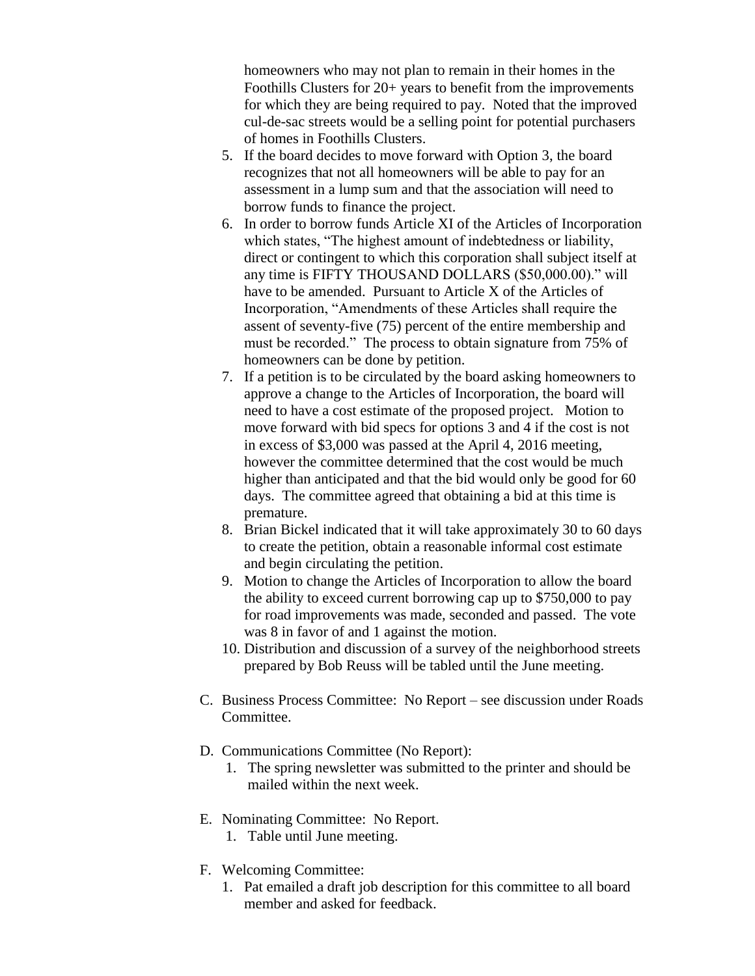homeowners who may not plan to remain in their homes in the Foothills Clusters for 20+ years to benefit from the improvements for which they are being required to pay. Noted that the improved cul-de-sac streets would be a selling point for potential purchasers of homes in Foothills Clusters.

- 5. If the board decides to move forward with Option 3, the board recognizes that not all homeowners will be able to pay for an assessment in a lump sum and that the association will need to borrow funds to finance the project.
- 6. In order to borrow funds Article XI of the Articles of Incorporation which states, "The highest amount of indebtedness or liability, direct or contingent to which this corporation shall subject itself at any time is FIFTY THOUSAND DOLLARS (\$50,000.00)." will have to be amended. Pursuant to Article X of the Articles of Incorporation, "Amendments of these Articles shall require the assent of seventy-five (75) percent of the entire membership and must be recorded." The process to obtain signature from 75% of homeowners can be done by petition.
- 7. If a petition is to be circulated by the board asking homeowners to approve a change to the Articles of Incorporation, the board will need to have a cost estimate of the proposed project. Motion to move forward with bid specs for options 3 and 4 if the cost is not in excess of \$3,000 was passed at the April 4, 2016 meeting, however the committee determined that the cost would be much higher than anticipated and that the bid would only be good for 60 days. The committee agreed that obtaining a bid at this time is premature.
- 8. Brian Bickel indicated that it will take approximately 30 to 60 days to create the petition, obtain a reasonable informal cost estimate and begin circulating the petition.
- 9. Motion to change the Articles of Incorporation to allow the board the ability to exceed current borrowing cap up to \$750,000 to pay for road improvements was made, seconded and passed. The vote was 8 in favor of and 1 against the motion.
- 10. Distribution and discussion of a survey of the neighborhood streets prepared by Bob Reuss will be tabled until the June meeting.
- C. Business Process Committee: No Report see discussion under Roads Committee.
- D. Communications Committee (No Report):
	- 1. The spring newsletter was submitted to the printer and should be mailed within the next week.
- E. Nominating Committee: No Report.
	- 1. Table until June meeting.
- F. Welcoming Committee:
	- 1. Pat emailed a draft job description for this committee to all board member and asked for feedback.